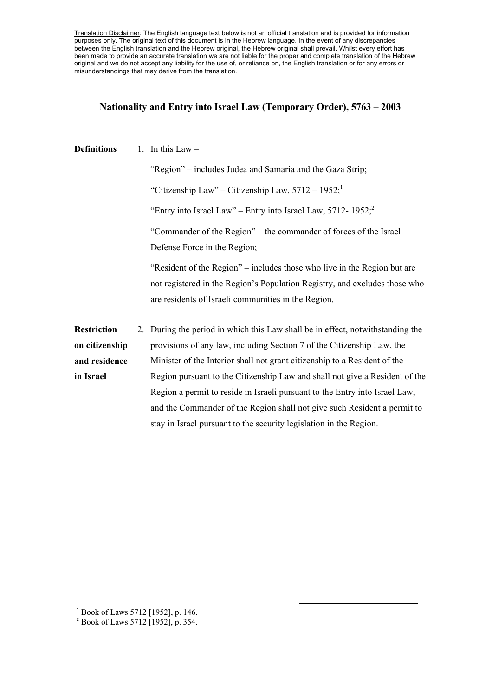Translation Disclaimer: The English language text below is not an official translation and is provided for information purposes only. The original text of this document is in the Hebrew language. In the event of any discrepancies between the English translation and the Hebrew original, the Hebrew original shall prevail. Whilst every effort has been made to provide an accurate translation we are not liable for the proper and complete translation of the Hebrew original and we do not accept any liability for the use of, or reliance on, the English translation or for any errors or misunderstandings that may derive from the translation.

## **Nationality and Entry into Israel Law (Temporary Order), 5763 – 2003**

| <b>Definitions</b> | 1. In this Law $-$                                                                                                                                                                                            |
|--------------------|---------------------------------------------------------------------------------------------------------------------------------------------------------------------------------------------------------------|
|                    | "Region" – includes Judea and Samaria and the Gaza Strip;                                                                                                                                                     |
|                    | "Citizenship Law" – Citizenship Law, $5712 - 1952$ ;"                                                                                                                                                         |
|                    | "Entry into Israel Law" – Entry into Israel Law, 5712-1952; <sup>2</sup>                                                                                                                                      |
|                    | "Commander of the Region" – the commander of forces of the Israel<br>Defense Force in the Region;                                                                                                             |
|                    | "Resident of the Region" – includes those who live in the Region but are<br>not registered in the Region's Population Registry, and excludes those who<br>are residents of Israeli communities in the Region. |
| <b>Restriction</b> | 2. During the period in which this Law shall be in effect, not with standing the                                                                                                                              |
| on citizenship     | provisions of any law, including Section 7 of the Citizenship Law, the                                                                                                                                        |
| and residence      | Minister of the Interior shall not grant citizenship to a Resident of the                                                                                                                                     |
| in Israel          | Region pursuant to the Citizenship Law and shall not give a Resident of the                                                                                                                                   |
|                    | Region a permit to reside in Israeli pursuant to the Entry into Israel Law,                                                                                                                                   |
|                    | and the Commander of the Region shall not give such Resident a permit to                                                                                                                                      |
|                    | stay in Israel pursuant to the security legislation in the Region.                                                                                                                                            |

 $\overline{a}$ 

<sup>1</sup> Book of Laws 5712 [1952], p. 146.

<sup>&</sup>lt;sup>2</sup> Book of Laws 5712 [1952], p. 354.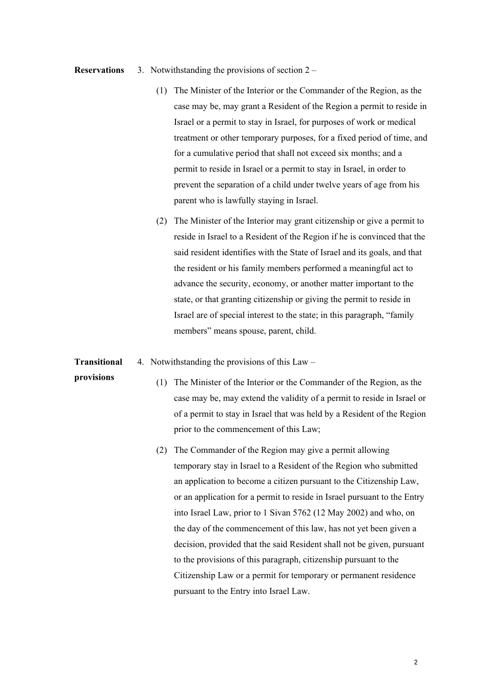## **Reservations** 3. Notwithstanding the provisions of section 2 –

- (1) The Minister of the Interior or the Commander of the Region, as the case may be, may grant a Resident of the Region a permit to reside in Israel or a permit to stay in Israel, for purposes of work or medical treatment or other temporary purposes, for a fixed period of time, and for a cumulative period that shall not exceed six months; and a permit to reside in Israel or a permit to stay in Israel, in order to prevent the separation of a child under twelve years of age from his parent who is lawfully staying in Israel.
- (2) The Minister of the Interior may grant citizenship or give a permit to reside in Israel to a Resident of the Region if he is convinced that the said resident identifies with the State of Israel and its goals, and that the resident or his family members performed a meaningful act to advance the security, economy, or another matter important to the state, or that granting citizenship or giving the permit to reside in Israel are of special interest to the state; in this paragraph, "family members" means spouse, parent, child.
- **Transitional**  4. Notwithstanding the provisions of this Law –
- **provisions**
- (1) The Minister of the Interior or the Commander of the Region, as the case may be, may extend the validity of a permit to reside in Israel or of a permit to stay in Israel that was held by a Resident of the Region prior to the commencement of this Law;
- (2) The Commander of the Region may give a permit allowing temporary stay in Israel to a Resident of the Region who submitted an application to become a citizen pursuant to the Citizenship Law, or an application for a permit to reside in Israel pursuant to the Entry into Israel Law, prior to 1 Sivan 5762 (12 May 2002) and who, on the day of the commencement of this law, has not yet been given a decision, provided that the said Resident shall not be given, pursuant to the provisions of this paragraph, citizenship pursuant to the Citizenship Law or a permit for temporary or permanent residence pursuant to the Entry into Israel Law.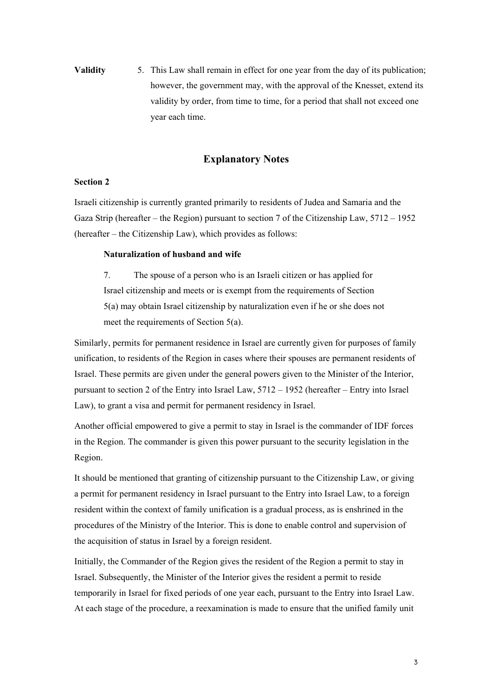**Validity** 5. This Law shall remain in effect for one year from the day of its publication; however, the government may, with the approval of the Knesset, extend its validity by order, from time to time, for a period that shall not exceed one year each time.

# **Explanatory Notes**

## **Section 2**

Israeli citizenship is currently granted primarily to residents of Judea and Samaria and the Gaza Strip (hereafter – the Region) pursuant to section 7 of the Citizenship Law, 5712 – 1952 (hereafter – the Citizenship Law), which provides as follows:

#### **Naturalization of husband and wife**

7. The spouse of a person who is an Israeli citizen or has applied for Israel citizenship and meets or is exempt from the requirements of Section 5(a) may obtain Israel citizenship by naturalization even if he or she does not meet the requirements of Section 5(a).

Similarly, permits for permanent residence in Israel are currently given for purposes of family unification, to residents of the Region in cases where their spouses are permanent residents of Israel. These permits are given under the general powers given to the Minister of the Interior, pursuant to section 2 of the Entry into Israel Law, 5712 – 1952 (hereafter – Entry into Israel Law), to grant a visa and permit for permanent residency in Israel.

Another official empowered to give a permit to stay in Israel is the commander of IDF forces in the Region. The commander is given this power pursuant to the security legislation in the Region.

It should be mentioned that granting of citizenship pursuant to the Citizenship Law, or giving a permit for permanent residency in Israel pursuant to the Entry into Israel Law, to a foreign resident within the context of family unification is a gradual process, as is enshrined in the procedures of the Ministry of the Interior. This is done to enable control and supervision of the acquisition of status in Israel by a foreign resident.

Initially, the Commander of the Region gives the resident of the Region a permit to stay in Israel. Subsequently, the Minister of the Interior gives the resident a permit to reside temporarily in Israel for fixed periods of one year each, pursuant to the Entry into Israel Law. At each stage of the procedure, a reexamination is made to ensure that the unified family unit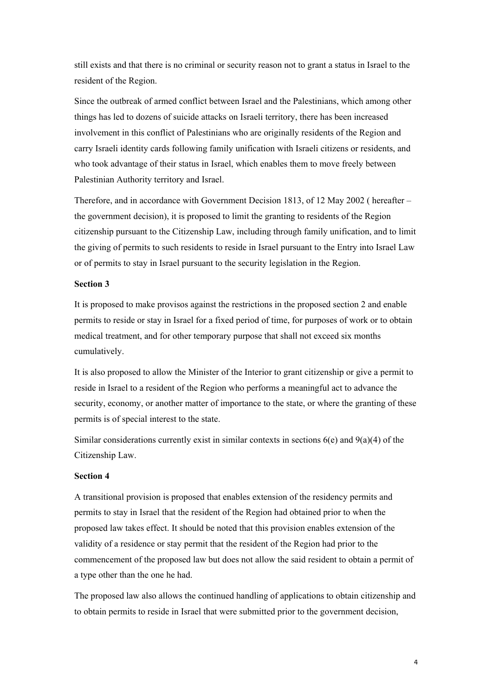still exists and that there is no criminal or security reason not to grant a status in Israel to the resident of the Region.

Since the outbreak of armed conflict between Israel and the Palestinians, which among other things has led to dozens of suicide attacks on Israeli territory, there has been increased involvement in this conflict of Palestinians who are originally residents of the Region and carry Israeli identity cards following family unification with Israeli citizens or residents, and who took advantage of their status in Israel, which enables them to move freely between Palestinian Authority territory and Israel.

Therefore, and in accordance with Government Decision 1813, of 12 May 2002 ( hereafter – the government decision), it is proposed to limit the granting to residents of the Region citizenship pursuant to the Citizenship Law, including through family unification, and to limit the giving of permits to such residents to reside in Israel pursuant to the Entry into Israel Law or of permits to stay in Israel pursuant to the security legislation in the Region.

## **Section 3**

It is proposed to make provisos against the restrictions in the proposed section 2 and enable permits to reside or stay in Israel for a fixed period of time, for purposes of work or to obtain medical treatment, and for other temporary purpose that shall not exceed six months cumulatively.

It is also proposed to allow the Minister of the Interior to grant citizenship or give a permit to reside in Israel to a resident of the Region who performs a meaningful act to advance the security, economy, or another matter of importance to the state, or where the granting of these permits is of special interest to the state.

Similar considerations currently exist in similar contexts in sections 6(e) and 9(a)(4) of the Citizenship Law.

## **Section 4**

A transitional provision is proposed that enables extension of the residency permits and permits to stay in Israel that the resident of the Region had obtained prior to when the proposed law takes effect. It should be noted that this provision enables extension of the validity of a residence or stay permit that the resident of the Region had prior to the commencement of the proposed law but does not allow the said resident to obtain a permit of a type other than the one he had.

The proposed law also allows the continued handling of applications to obtain citizenship and to obtain permits to reside in Israel that were submitted prior to the government decision,